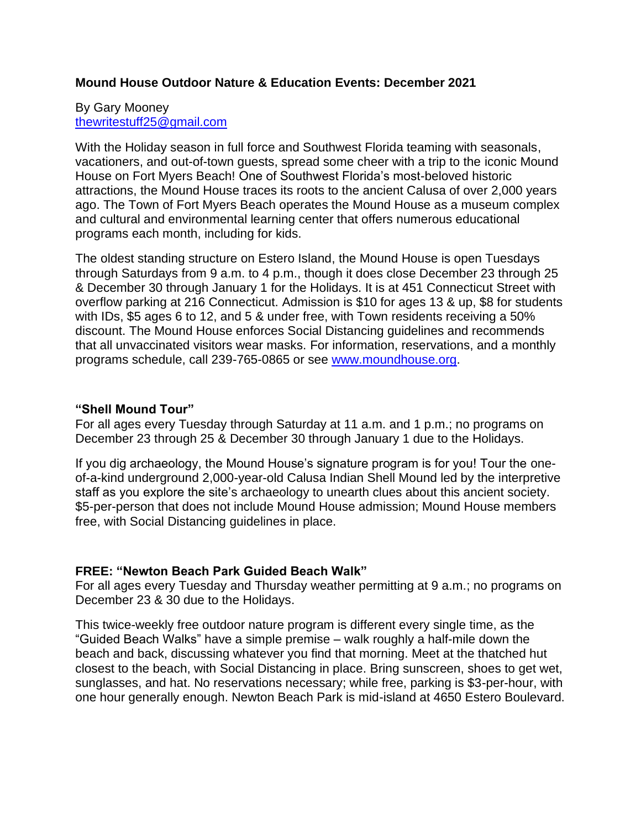# **Mound House Outdoor Nature & Education Events: December 2021**

#### By Gary Mooney [thewritestuff25@gmail.com](mailto:thewritestuff25@gmail.com)

With the Holiday season in full force and Southwest Florida teaming with seasonals, vacationers, and out-of-town guests, spread some cheer with a trip to the iconic Mound House on Fort Myers Beach! One of Southwest Florida's most-beloved historic attractions, the Mound House traces its roots to the ancient Calusa of over 2,000 years ago. The Town of Fort Myers Beach operates the Mound House as a museum complex and cultural and environmental learning center that offers numerous educational programs each month, including for kids.

The oldest standing structure on Estero Island, the Mound House is open Tuesdays through Saturdays from 9 a.m. to 4 p.m., though it does close December 23 through 25 & December 30 through January 1 for the Holidays. It is at 451 Connecticut Street with overflow parking at 216 Connecticut. Admission is \$10 for ages 13 & up, \$8 for students with IDs, \$5 ages 6 to 12, and 5 & under free, with Town residents receiving a 50% discount. The Mound House enforces Social Distancing guidelines and recommends that all unvaccinated visitors wear masks. For information, reservations, and a monthly programs schedule, call 239-765-0865 or see [www.moundhouse.org.](http://www.moundhouse.org/)

#### **"Shell Mound Tour"**

For all ages every Tuesday through Saturday at 11 a.m. and 1 p.m.; no programs on December 23 through 25 & December 30 through January 1 due to the Holidays.

If you dig archaeology, the Mound House's signature program is for you! Tour the oneof-a-kind underground 2,000-year-old Calusa Indian Shell Mound led by the interpretive staff as you explore the site's archaeology to unearth clues about this ancient society. \$5-per-person that does not include Mound House admission; Mound House members free, with Social Distancing guidelines in place.

#### **FREE: "Newton Beach Park Guided Beach Walk"**

For all ages every Tuesday and Thursday weather permitting at 9 a.m.; no programs on December 23 & 30 due to the Holidays.

This twice-weekly free outdoor nature program is different every single time, as the "Guided Beach Walks" have a simple premise – walk roughly a half-mile down the beach and back, discussing whatever you find that morning. Meet at the thatched hut closest to the beach, with Social Distancing in place. Bring sunscreen, shoes to get wet, sunglasses, and hat. No reservations necessary; while free, parking is \$3-per-hour, with one hour generally enough. Newton Beach Park is mid-island at 4650 Estero Boulevard.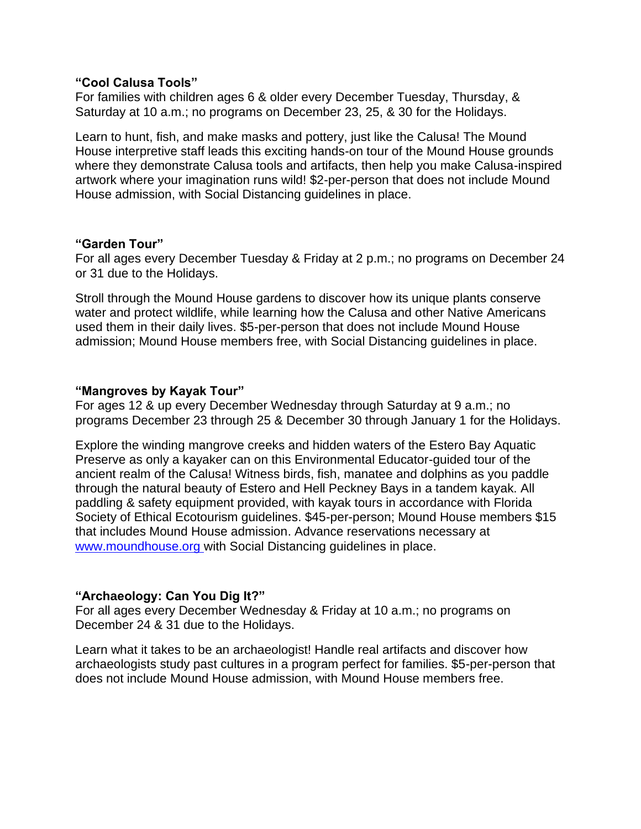## **"Cool Calusa Tools"**

For families with children ages 6 & older every December Tuesday, Thursday, & Saturday at 10 a.m.; no programs on December 23, 25, & 30 for the Holidays.

Learn to hunt, fish, and make masks and pottery, just like the Calusa! The Mound House interpretive staff leads this exciting hands-on tour of the Mound House grounds where they demonstrate Calusa tools and artifacts, then help you make Calusa-inspired artwork where your imagination runs wild! \$2-per-person that does not include Mound House admission, with Social Distancing guidelines in place.

### **"Garden Tour"**

For all ages every December Tuesday & Friday at 2 p.m.; no programs on December 24 or 31 due to the Holidays.

Stroll through the Mound House gardens to discover how its unique plants conserve water and protect wildlife, while learning how the Calusa and other Native Americans used them in their daily lives. \$5-per-person that does not include Mound House admission; Mound House members free, with Social Distancing guidelines in place.

### **"Mangroves by Kayak Tour"**

For ages 12 & up every December Wednesday through Saturday at 9 a.m.; no programs December 23 through 25 & December 30 through January 1 for the Holidays.

Explore the winding mangrove creeks and hidden waters of the Estero Bay Aquatic Preserve as only a kayaker can on this Environmental Educator-guided tour of the ancient realm of the Calusa! Witness birds, fish, manatee and dolphins as you paddle through the natural beauty of Estero and Hell Peckney Bays in a tandem kayak. All paddling & safety equipment provided, with kayak tours in accordance with Florida Society of Ethical Ecotourism guidelines. \$45-per-person; Mound House members \$15 that includes Mound House admission. Advance reservations necessary at [www.moundhouse.org](http://www.moundhouse.org/) with Social Distancing guidelines in place.

# **"Archaeology: Can You Dig It?"**

For all ages every December Wednesday & Friday at 10 a.m.; no programs on December 24 & 31 due to the Holidays.

Learn what it takes to be an archaeologist! Handle real artifacts and discover how archaeologists study past cultures in a program perfect for families. \$5-per-person that does not include Mound House admission, with Mound House members free.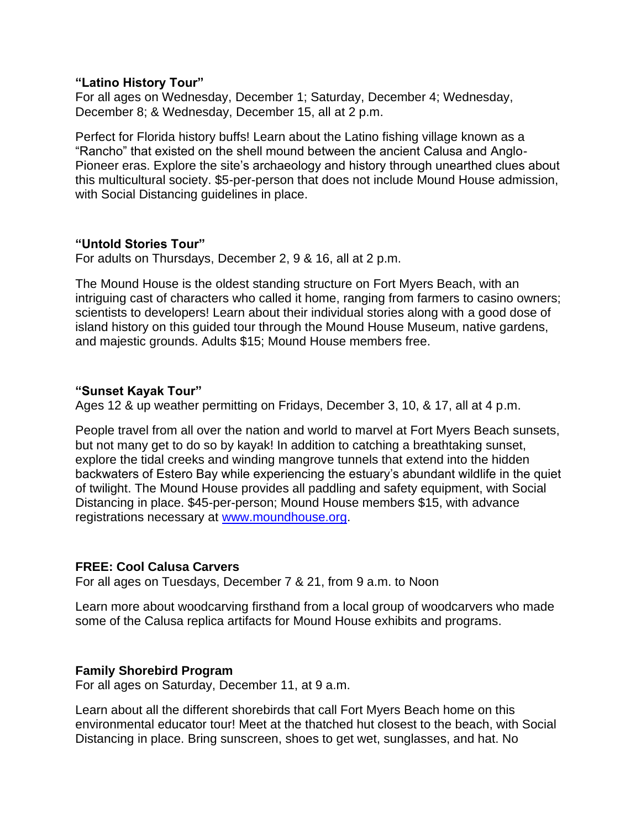### **"Latino History Tour"**

For all ages on Wednesday, December 1; Saturday, December 4; Wednesday, December 8; & Wednesday, December 15, all at 2 p.m.

Perfect for Florida history buffs! Learn about the Latino fishing village known as a "Rancho" that existed on the shell mound between the ancient Calusa and Anglo-Pioneer eras. Explore the site's archaeology and history through unearthed clues about this multicultural society. \$5-per-person that does not include Mound House admission, with Social Distancing guidelines in place.

### **"Untold Stories Tour"**

For adults on Thursdays, December 2, 9 & 16, all at 2 p.m.

The Mound House is the oldest standing structure on Fort Myers Beach, with an intriguing cast of characters who called it home, ranging from farmers to casino owners; scientists to developers! Learn about their individual stories along with a good dose of island history on this guided tour through the Mound House Museum, native gardens, and majestic grounds. Adults \$15; Mound House members free.

# **"Sunset Kayak Tour"**

Ages 12 & up weather permitting on Fridays, December 3, 10, & 17, all at 4 p.m.

People travel from all over the nation and world to marvel at Fort Myers Beach sunsets, but not many get to do so by kayak! In addition to catching a breathtaking sunset, explore the tidal creeks and winding mangrove tunnels that extend into the hidden backwaters of Estero Bay while experiencing the estuary's abundant wildlife in the quiet of twilight. The Mound House provides all paddling and safety equipment, with Social Distancing in place. \$45-per-person; Mound House members \$15, with advance registrations necessary at [www.moundhouse.org.](http://www.moundhouse.org/)

# **FREE: Cool Calusa Carvers**

For all ages on Tuesdays, December 7 & 21, from 9 a.m. to Noon

Learn more about woodcarving firsthand from a local group of woodcarvers who made some of the Calusa replica artifacts for Mound House exhibits and programs.

# **Family Shorebird Program**

For all ages on Saturday, December 11, at 9 a.m.

Learn about all the different shorebirds that call Fort Myers Beach home on this environmental educator tour! Meet at the thatched hut closest to the beach, with Social Distancing in place. Bring sunscreen, shoes to get wet, sunglasses, and hat. No